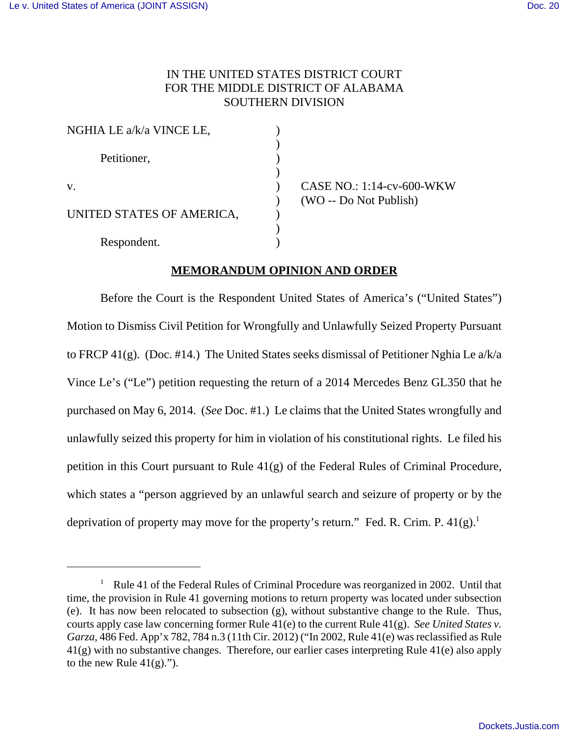## IN THE UNITED STATES DISTRICT COURT FOR THE MIDDLE DISTRICT OF ALABAMA SOUTHERN DIVISION

)

)

)

| NGHIA LE a/k/a VINCE LE,  |  |
|---------------------------|--|
| Petitioner,               |  |
| V.                        |  |
| UNITED STATES OF AMERICA, |  |
| Respondent.               |  |

) CASE NO.: 1:14-cv-600-WKW ) (WO -- Do Not Publish)

## **MEMORANDUM OPINION AND ORDER**

Before the Court is the Respondent United States of America's ("United States") Motion to Dismiss Civil Petition for Wrongfully and Unlawfully Seized Property Pursuant to FRCP 41(g). (Doc. #14.) The United States seeks dismissal of Petitioner Nghia Le a/k/a Vince Le's ("Le") petition requesting the return of a 2014 Mercedes Benz GL350 that he purchased on May 6, 2014. (*See* Doc. #1.) Le claims that the United States wrongfully and unlawfully seized this property for him in violation of his constitutional rights. Le filed his petition in this Court pursuant to Rule 41(g) of the Federal Rules of Criminal Procedure, which states a "person aggrieved by an unlawful search and seizure of property or by the deprivation of property may move for the property's return." Fed. R. Crim. P.  $41(g)$ .<sup>1</sup>

<sup>&</sup>lt;sup>1</sup> Rule 41 of the Federal Rules of Criminal Procedure was reorganized in 2002. Until that time, the provision in Rule 41 governing motions to return property was located under subsection (e). It has now been relocated to subsection (g), without substantive change to the Rule. Thus, courts apply case law concerning former Rule 41(e) to the current Rule 41(g). *See United States v. Garza*, 486 Fed. App'x 782, 784 n.3 (11th Cir. 2012) ("In 2002, Rule 41(e) was reclassified as Rule 41(g) with no substantive changes. Therefore, our earlier cases interpreting Rule 41(e) also apply to the new Rule  $41(g)$ .").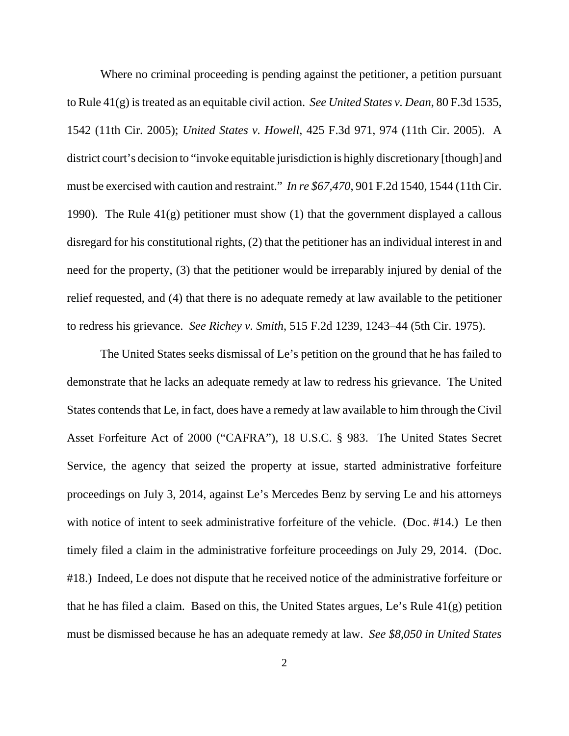Where no criminal proceeding is pending against the petitioner, a petition pursuant to Rule 41(g) is treated as an equitable civil action. *See United States v. Dean*, 80 F.3d 1535, 1542 (11th Cir. 2005); *United States v. Howell*, 425 F.3d 971, 974 (11th Cir. 2005). A district court's decision to "invoke equitable jurisdiction is highly discretionary [though] and must be exercised with caution and restraint." *In re \$67,470*, 901 F.2d 1540, 1544 (11th Cir. 1990). The Rule  $41(g)$  petitioner must show (1) that the government displayed a callous disregard for his constitutional rights, (2) that the petitioner has an individual interest in and need for the property, (3) that the petitioner would be irreparably injured by denial of the relief requested, and (4) that there is no adequate remedy at law available to the petitioner to redress his grievance. *See Richey v. Smith*, 515 F.2d 1239, 1243–44 (5th Cir. 1975).

The United States seeks dismissal of Le's petition on the ground that he has failed to demonstrate that he lacks an adequate remedy at law to redress his grievance. The United States contends that Le, in fact, does have a remedy at law available to him through the Civil Asset Forfeiture Act of 2000 ("CAFRA"), 18 U.S.C. § 983. The United States Secret Service, the agency that seized the property at issue, started administrative forfeiture proceedings on July 3, 2014, against Le's Mercedes Benz by serving Le and his attorneys with notice of intent to seek administrative forfeiture of the vehicle. (Doc. #14.) Le then timely filed a claim in the administrative forfeiture proceedings on July 29, 2014. (Doc. #18.) Indeed, Le does not dispute that he received notice of the administrative forfeiture or that he has filed a claim. Based on this, the United States argues, Le's Rule 41(g) petition must be dismissed because he has an adequate remedy at law. *See \$8,050 in United States*